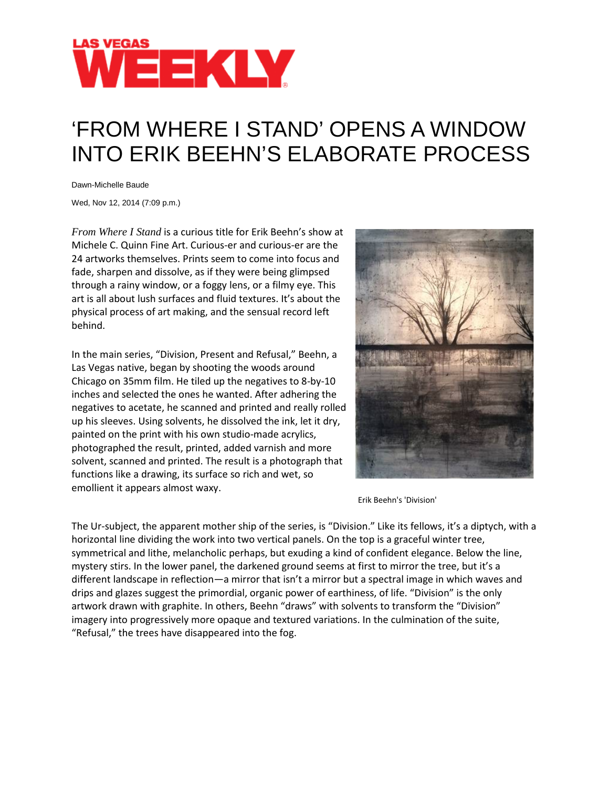

## 'FROM WHERE I STAND' OPENS A WINDOW INTO ERIK BEEHN'S ELABORATE PROCESS

Dawn-Michelle Baude

Wed, Nov 12, 2014 (7:09 p.m.)

*From Where I Stand* is a curious title for Erik Beehn's show at Michele C. Quinn Fine Art. Curious-er and curious-er are the 24 artworks themselves. Prints seem to come into focus and fade, sharpen and dissolve, as if they were being glimpsed through a rainy window, or a foggy lens, or a filmy eye. This art is all about lush surfaces and fluid textures. It's about the physical process of art making, and the sensual record left behind.

In the main series, "Division, Present and Refusal," Beehn, a Las Vegas native, began by shooting the woods around Chicago on 35mm film. He tiled up the negatives to 8-by-10 inches and selected the ones he wanted. After adhering the negatives to acetate, he scanned and printed and really rolled up his sleeves. Using solvents, he dissolved the ink, let it dry, painted on the print with his own studio-made acrylics, photographed the result, printed, added varnish and more solvent, scanned and printed. The result is a photograph that functions like a drawing, its surface so rich and wet, so emollient it appears almost waxy.



Erik Beehn's 'Division'

The Ur-subject, the apparent mother ship of the series, is "Division." Like its fellows, it's a diptych, with a horizontal line dividing the work into two vertical panels. On the top is a graceful winter tree, symmetrical and lithe, melancholic perhaps, but exuding a kind of confident elegance. Below the line, mystery stirs. In the lower panel, the darkened ground seems at first to mirror the tree, but it's a different landscape in reflection—a mirror that isn't a mirror but a spectral image in which waves and drips and glazes suggest the primordial, organic power of earthiness, of life. "Division" is the only artwork drawn with graphite. In others, Beehn "draws" with solvents to transform the "Division" imagery into progressively more opaque and textured variations. In the culmination of the suite, "Refusal," the trees have disappeared into the fog.